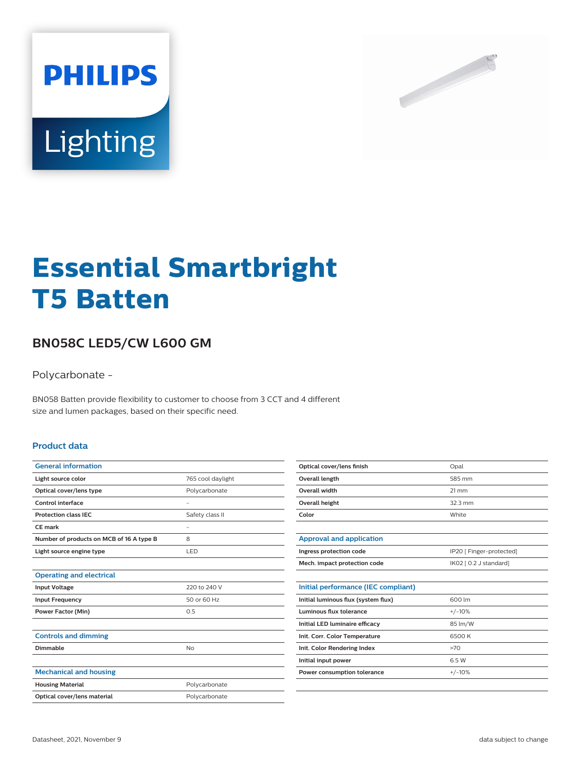



# **Essential Smartbright T5 Batten**

## **BN058C LED5/CW L600 GM**

Polycarbonate -

BN058 Batten provide flexibility to customer to choose from 3 CCT and 4 different size and lumen packages, based on their specific need.

#### **Product data**

| <b>General information</b>               |                   |
|------------------------------------------|-------------------|
| Light source color                       | 765 cool daylight |
| Optical cover/lens type                  | Polycarbonate     |
| Control interface                        |                   |
| <b>Protection class IEC</b>              | Safety class II   |
| CE mark                                  | ٠                 |
| Number of products on MCB of 16 A type B | 8                 |
| Light source engine type                 | LED               |
|                                          |                   |
| <b>Operating and electrical</b>          |                   |
| <b>Input Voltage</b>                     | 220 to 240 V      |
| <b>Input Frequency</b>                   | 50 or 60 Hz       |
| <b>Power Factor (Min)</b>                | 0.5               |
|                                          |                   |
| <b>Controls and dimming</b>              |                   |
| Dimmable                                 | No                |
|                                          |                   |
| <b>Mechanical and housing</b>            |                   |
| <b>Housing Material</b>                  | Polycarbonate     |
| Optical cover/lens material              | Polycarbonate     |

| Optical cover/lens finish | Opal              |
|---------------------------|-------------------|
| Overall length            | 585 mm            |
| Overall width             | $21 \, \text{mm}$ |
| Overall height            | $32.3 \text{ mm}$ |
| Color                     | White             |

| Approval and application     |                          |
|------------------------------|--------------------------|
| Ingress protection code      | IP20 [ Finger-protected] |
| Mech. impact protection code | IK02 [ 0.2 J standard]   |

| 600 lm   |
|----------|
| $+/-10%$ |
| 85 lm/W  |
| 6500 K   |
| >70      |
| 65W      |
| $+/-10%$ |
|          |